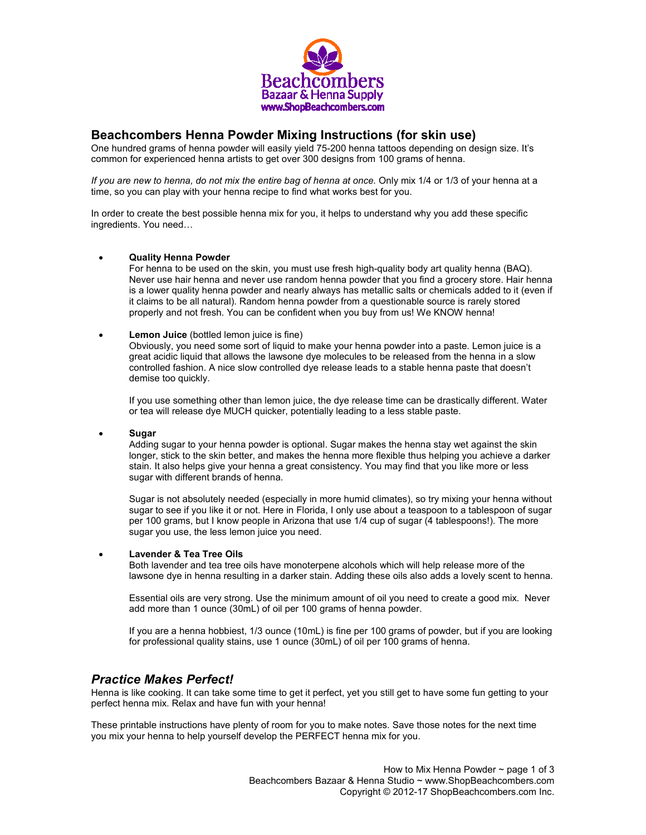

# **Beachcombers Henna Powder Mixing Instructions (for skin use)**

One hundred grams of henna powder will easily yield 75-200 henna tattoos depending on design size. It's common for experienced henna artists to get over 300 designs from 100 grams of henna.

*If you are new to henna, do not mix the entire bag of henna at once.* Only mix 1/4 or 1/3 of your henna at a time, so you can play with your henna recipe to find what works best for you.

In order to create the best possible henna mix for you, it helps to understand why you add these specific ingredients. You need…

### • **Quality Henna Powder**

For henna to be used on the skin, you must use fresh high-quality body art quality henna (BAQ). Never use hair henna and never use random henna powder that you find a grocery store. Hair henna is a lower quality henna powder and nearly always has metallic salts or chemicals added to it (even if it claims to be all natural). Random henna powder from a questionable source is rarely stored properly and not fresh. You can be confident when you buy from us! We KNOW henna!

**Lemon Juice** (bottled lemon juice is fine)

Obviously, you need some sort of liquid to make your henna powder into a paste. Lemon juice is a great acidic liquid that allows the lawsone dye molecules to be released from the henna in a slow controlled fashion. A nice slow controlled dye release leads to a stable henna paste that doesn't demise too quickly.

If you use something other than lemon juice, the dye release time can be drastically different. Water or tea will release dye MUCH quicker, potentially leading to a less stable paste.

• **Sugar**

Adding sugar to your henna powder is optional. Sugar makes the henna stay wet against the skin longer, stick to the skin better, and makes the henna more flexible thus helping you achieve a darker stain. It also helps give your henna a great consistency. You may find that you like more or less sugar with different brands of henna.

Sugar is not absolutely needed (especially in more humid climates), so try mixing your henna without sugar to see if you like it or not. Here in Florida, I only use about a teaspoon to a tablespoon of sugar per 100 grams, but I know people in Arizona that use 1/4 cup of sugar (4 tablespoons!). The more sugar you use, the less lemon juice you need.

#### • **Lavender & Tea Tree Oils**

Both lavender and tea tree oils have monoterpene alcohols which will help release more of the lawsone dye in henna resulting in a darker stain. Adding these oils also adds a lovely scent to henna.

Essential oils are very strong. Use the minimum amount of oil you need to create a good mix. Never add more than 1 ounce (30mL) of oil per 100 grams of henna powder.

If you are a henna hobbiest, 1/3 ounce (10mL) is fine per 100 grams of powder, but if you are looking for professional quality stains, use 1 ounce (30mL) of oil per 100 grams of henna.

## *Practice Makes Perfect!*

Henna is like cooking. It can take some time to get it perfect, yet you still get to have some fun getting to your perfect henna mix. Relax and have fun with your henna!

These printable instructions have plenty of room for you to make notes. Save those notes for the next time you mix your henna to help yourself develop the PERFECT henna mix for you.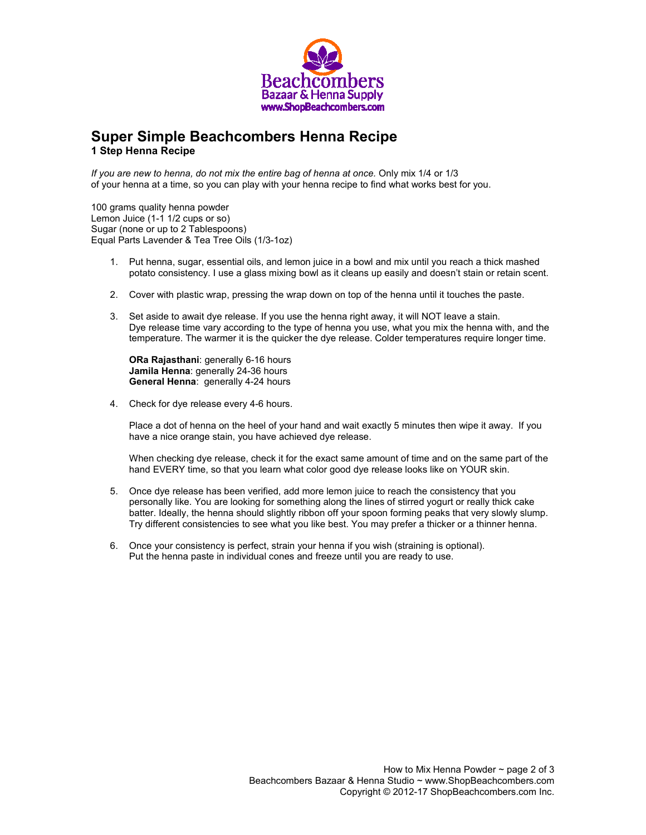

# **Super Simple Beachcombers Henna Recipe 1 Step Henna Recipe**

*If you are new to henna, do not mix the entire bag of henna at once.* Only mix 1/4 or 1/3 of your henna at a time, so you can play with your henna recipe to find what works best for you.

100 grams quality henna powder Lemon Juice (1-1 1/2 cups or so) Sugar (none or up to 2 Tablespoons) Equal Parts Lavender & Tea Tree Oils (1/3-1oz)

- 1. Put henna, sugar, essential oils, and lemon juice in a bowl and mix until you reach a thick mashed potato consistency. I use a glass mixing bowl as it cleans up easily and doesn't stain or retain scent.
- 2. Cover with plastic wrap, pressing the wrap down on top of the henna until it touches the paste.
- 3. Set aside to await dye release. If you use the henna right away, it will NOT leave a stain. Dye release time vary according to the type of henna you use, what you mix the henna with, and the temperature. The warmer it is the quicker the dye release. Colder temperatures require longer time.

**ORa Rajasthani**: generally 6-16 hours **Jamila Henna**: generally 24-36 hours **General Henna**: generally 4-24 hours

4. Check for dye release every 4-6 hours.

Place a dot of henna on the heel of your hand and wait exactly 5 minutes then wipe it away. If you have a nice orange stain, you have achieved dye release.

When checking dye release, check it for the exact same amount of time and on the same part of the hand EVERY time, so that you learn what color good dye release looks like on YOUR skin.

- 5. Once dye release has been verified, add more lemon juice to reach the consistency that you personally like. You are looking for something along the lines of stirred yogurt or really thick cake batter. Ideally, the henna should slightly ribbon off your spoon forming peaks that very slowly slump. Try different consistencies to see what you like best. You may prefer a thicker or a thinner henna.
- 6. Once your consistency is perfect, strain your henna if you wish (straining is optional). Put the henna paste in individual cones and freeze until you are ready to use.